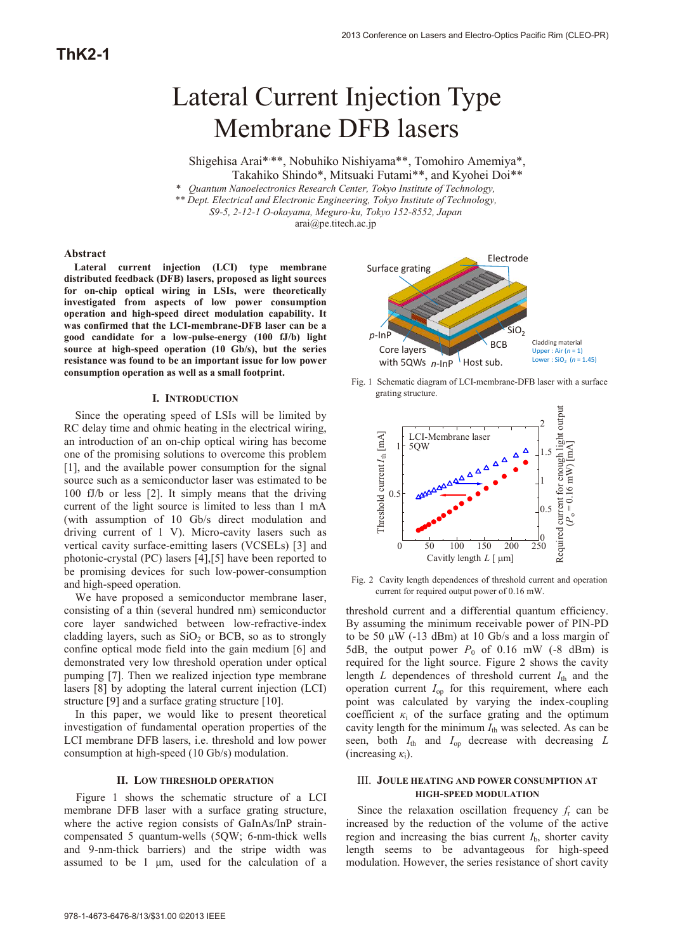# Lateral Current Injection Type Membrane DFB lasers

Shigehisa Arai\*\*\*, Nobuhiko Nishiyama\*\*, Tomohiro Amemiya\*, Takahiko Shindo\*, Mitsuaki Futami\*\*, and Kyohei Doi\*\*

\* *Quantum Nanoelectronics Research Center, Tokyo Institute of Technology, \*\* Dept. Electrical and Electronic Engineering, Tokyo Institute of Technology,* 

*S9-5, 2-12-1 O-okayama, Meguro-ku, Tokyo 152-8552, Japan*

arai@pe.titech.ac.jp

#### **Abstract**

**Lateral current injection (LCI) type membrane distributed feedback (DFB) lasers, proposed as light sources for on-chip optical wiring in LSIs, were theoretically investigated from aspects of low power consumption operation and high-speed direct modulation capability. It was confirmed that the LCI-membrane-DFB laser can be a good candidate for a low-pulse-energy (100 fJ/b) light source at high-speed operation (10 Gb/s), but the series resistance was found to be an important issue for low power consumption operation as well as a small footprint.** 

#### **I. INTRODUCTION**

Since the operating speed of LSIs will be limited by RC delay time and ohmic heating in the electrical wiring, an introduction of an on-chip optical wiring has become one of the promising solutions to overcome this problem [1], and the available power consumption for the signal source such as a semiconductor laser was estimated to be 100 fJ/b or less [2]. It simply means that the driving current of the light source is limited to less than 1 mA (with assumption of 10 Gb/s direct modulation and driving current of 1 V). Micro-cavity lasers such as vertical cavity surface-emitting lasers (VCSELs) [3] and photonic-crystal (PC) lasers [4],[5] have been reported to be promising devices for such low-power-consumption and high-speed operation.

We have proposed a semiconductor membrane laser, consisting of a thin (several hundred nm) semiconductor core layer sandwiched between low-refractive-index cladding layers, such as  $SiO<sub>2</sub>$  or BCB, so as to strongly confine optical mode field into the gain medium [6] and demonstrated very low threshold operation under optical pumping [7]. Then we realized injection type membrane lasers [8] by adopting the lateral current injection (LCI) structure [9] and a surface grating structure [10].

In this paper, we would like to present theoretical investigation of fundamental operation properties of the LCI membrane DFB lasers, i.e. threshold and low power consumption at high-speed (10 Gb/s) modulation.

#### **II. LOW THRESHOLD OPERATION**

Figure 1 shows the schematic structure of a LCI membrane DFB laser with a surface grating structure, where the active region consists of GaInAs/InP straincompensated 5 quantum-wells (5QW; 6-nm-thick wells and 9-nm-thick barriers) and the stripe width was assumed to be 1 μm, used for the calculation of a



Fig. 1 Schematic diagram of LCI-membrane-DFB laser with a surface grating structure.



Fig. 2 Cavity length dependences of threshold current and operation current for required output power of 0.16 mW.

threshold current and a differential quantum efficiency. By assuming the minimum receivable power of PIN-PD to be 50 μW (-13 dBm) at 10 Gb/s and a loss margin of 5dB, the output power  $P_0$  of 0.16 mW (-8 dBm) is required for the light source. Figure 2 shows the cavity length *L* dependences of threshold current  $I_{th}$  and the operation current *I*op for this requirement, where each point was calculated by varying the index-coupling coefficient  $\kappa_i$  of the surface grating and the optimum cavity length for the minimum  $I_{th}$  was selected. As can be seen, both  $I_{\text{th}}$  and  $I_{\text{op}}$  decrease with decreasing  $L$ (increasing  $\kappa_i$ ).

### III. **JOULE HEATING AND POWER CONSUMPTION AT HIGH-SPEED MODULATION**

Since the relaxation oscillation frequency  $f<sub>r</sub>$  can be increased by the reduction of the volume of the active region and increasing the bias current  $I<sub>b</sub>$ , shorter cavity length seems to be advantageous for high-speed modulation. However, the series resistance of short cavity